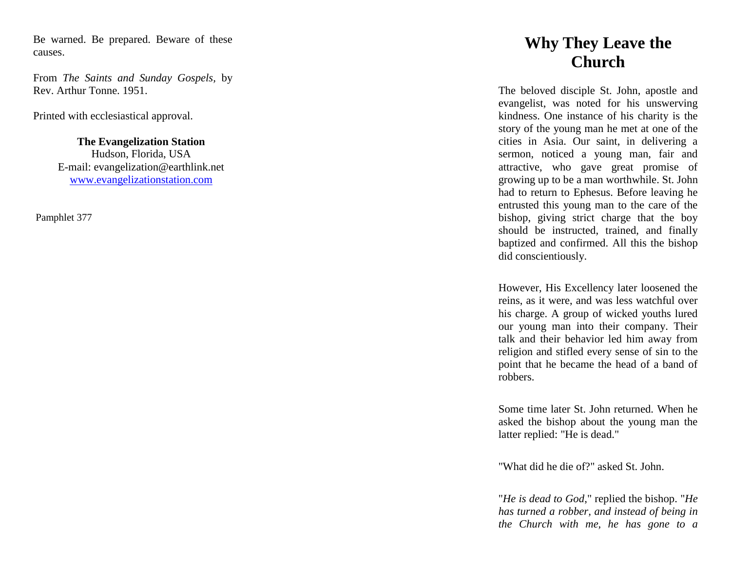Be warned. Be prepared. Beware of these causes.

From *The Saints and Sunday Gospels,* by Rev. Arthur Tonne. 1951.

Printed with ecclesiastical approval.

**The Evangelization Station**  Hudson, Florida, USA E -mail: evangelization@earthlink.net [www.evangelizationstation.com](http://www.pjpiisoe.org/)

Pamphlet 377 <sup>377</sup>

## **Why They Leave the Church**

The beloved disciple St. John, apostle and evangelist, was noted for his unswerving kindness. One instance of his charity is the story of the young man he met at one of the cities in Asia. Our saint, in delivering a sermon, noticed a young man, fair and attractive, who gave great promise of growing up to be a man worthwhile. St. John had to return to Ephesus. Before leaving he entrusted this young man to the care of the bishop, giving strict charge that the boy should be instructed, trained, and finally baptized and confirmed. All this the bishop did conscientiously.

However, His Excellency later loosened the reins, as it were, and was less watchful over his charge. A group of wicked youths lured our young man into their company. Their talk and their behavior led him away from religion and stifled every sense of sin to the point that he became the head of a band of robbers.

Some time later St. John returned. When he asked the bishop about the young man the latter replied: "He is dead."

"What did he die of?" asked St. John. "*He is dead to God*," replied the bishop. "*He has turned a robber, and instead of being in the Church with me, he has gone to a*